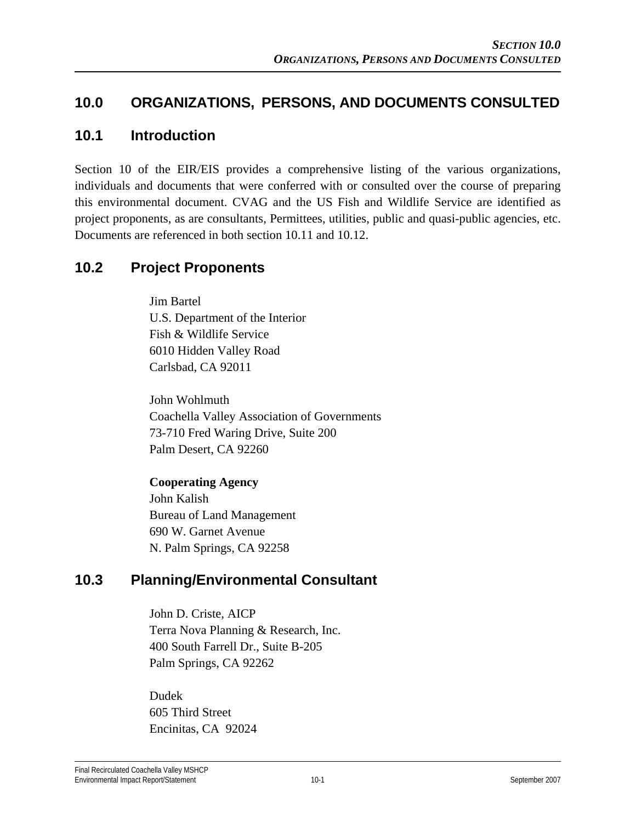### **10.0 ORGANIZATIONS, PERSONS, AND DOCUMENTS CONSULTED**

#### **10.1 Introduction**

Section 10 of the EIR/EIS provides a comprehensive listing of the various organizations, individuals and documents that were conferred with or consulted over the course of preparing this environmental document. CVAG and the US Fish and Wildlife Service are identified as project proponents, as are consultants, Permittees, utilities, public and quasi-public agencies, etc. Documents are referenced in both section 10.11 and 10.12.

### **10.2 Project Proponents**

Jim Bartel U.S. Department of the Interior Fish & Wildlife Service 6010 Hidden Valley Road Carlsbad, CA 92011

John Wohlmuth Coachella Valley Association of Governments 73-710 Fred Waring Drive, Suite 200 Palm Desert, CA 92260

# **Cooperating Agency**

John Kalish Bureau of Land Management 690 W. Garnet Avenue N. Palm Springs, CA 92258

### **10.3 Planning/Environmental Consultant**

John D. Criste, AICP Terra Nova Planning & Research, Inc. 400 South Farrell Dr., Suite B-205 Palm Springs, CA 92262

Dudek 605 Third Street Encinitas, CA 92024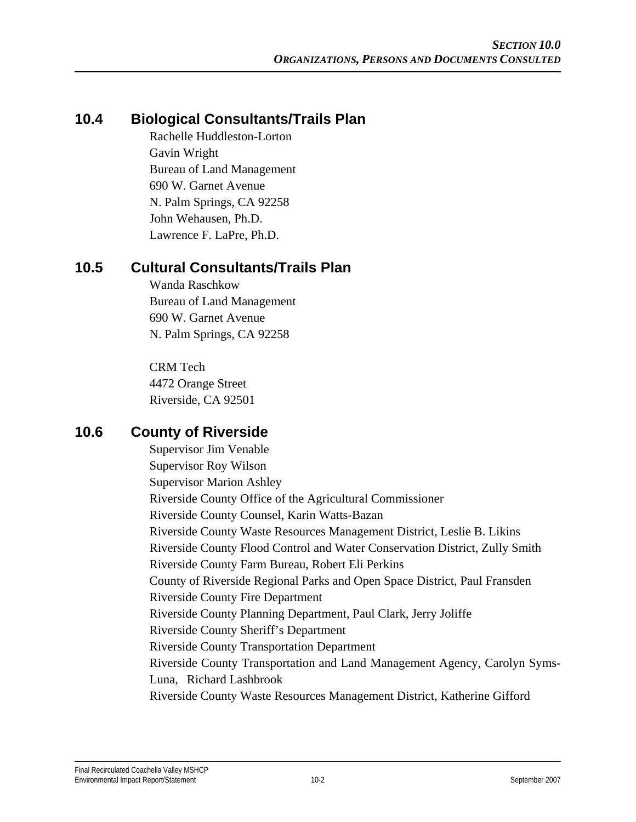## **10.4 Biological Consultants/Trails Plan**

Rachelle Huddleston-Lorton Gavin Wright Bureau of Land Management 690 W. Garnet Avenue N. Palm Springs, CA 92258 John Wehausen, Ph.D. Lawrence F. LaPre, Ph.D.

### **10.5 Cultural Consultants/Trails Plan**

Wanda Raschkow Bureau of Land Management 690 W. Garnet Avenue N. Palm Springs, CA 92258

CRM Tech 4472 Orange Street Riverside, CA 92501

### **10.6 County of Riverside**

Supervisor Jim Venable Supervisor Roy Wilson Supervisor Marion Ashley Riverside County Office of the Agricultural Commissioner Riverside County Counsel, Karin Watts-Bazan Riverside County Waste Resources Management District, Leslie B. Likins Riverside County Flood Control and Water Conservation District, Zully Smith Riverside County Farm Bureau, Robert Eli Perkins County of Riverside Regional Parks and Open Space District, Paul Fransden Riverside County Fire Department Riverside County Planning Department, Paul Clark, Jerry Joliffe Riverside County Sheriff's Department Riverside County Transportation Department Riverside County Transportation and Land Management Agency, Carolyn Syms-Luna, Richard Lashbrook Riverside County Waste Resources Management District, Katherine Gifford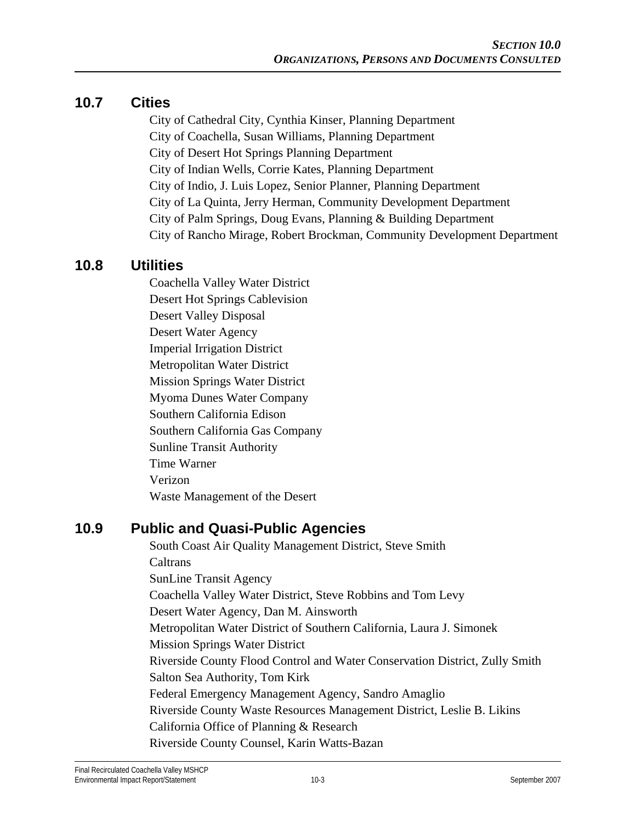#### **10.7 Cities**

City of Cathedral City, Cynthia Kinser, Planning Department City of Coachella, Susan Williams, Planning Department City of Desert Hot Springs Planning Department City of Indian Wells, Corrie Kates, Planning Department City of Indio, J. Luis Lopez, Senior Planner, Planning Department City of La Quinta, Jerry Herman, Community Development Department City of Palm Springs, Doug Evans, Planning & Building Department City of Rancho Mirage, Robert Brockman, Community Development Department

#### **10.8 Utilities**

Coachella Valley Water District Desert Hot Springs Cablevision Desert Valley Disposal Desert Water Agency Imperial Irrigation District Metropolitan Water District Mission Springs Water District Myoma Dunes Water Company Southern California Edison Southern California Gas Company Sunline Transit Authority Time Warner Verizon Waste Management of the Desert

#### **10.9 Public and Quasi-Public Agencies**

South Coast Air Quality Management District, Steve Smith **Caltrans** SunLine Transit Agency Coachella Valley Water District, Steve Robbins and Tom Levy Desert Water Agency, Dan M. Ainsworth Metropolitan Water District of Southern California, Laura J. Simonek Mission Springs Water District Riverside County Flood Control and Water Conservation District, Zully Smith Salton Sea Authority, Tom Kirk Federal Emergency Management Agency, Sandro Amaglio Riverside County Waste Resources Management District, Leslie B. Likins California Office of Planning & Research Riverside County Counsel, Karin Watts-Bazan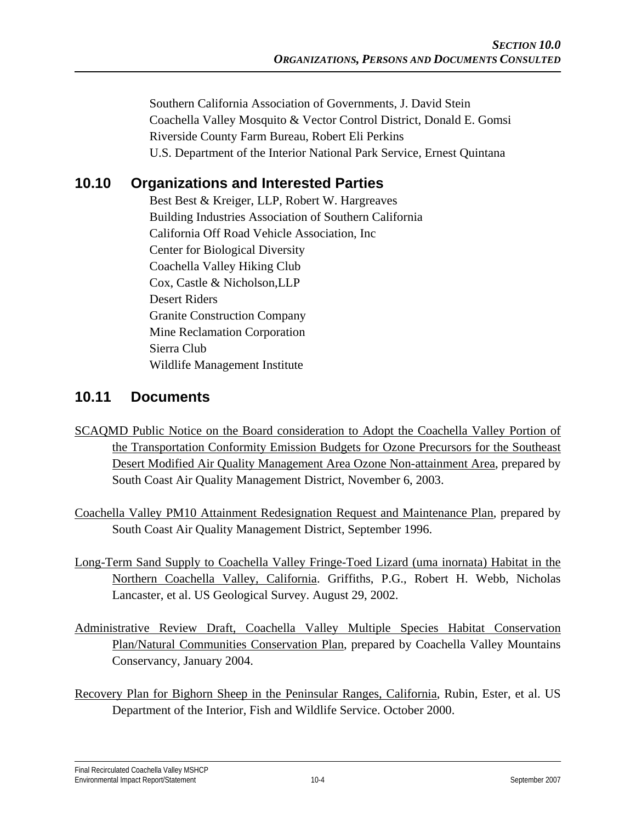Southern California Association of Governments, J. David Stein Coachella Valley Mosquito & Vector Control District, Donald E. Gomsi Riverside County Farm Bureau, Robert Eli Perkins U.S. Department of the Interior National Park Service, Ernest Quintana

## **10.10 Organizations and Interested Parties**

Best Best & Kreiger, LLP, Robert W. Hargreaves Building Industries Association of Southern California California Off Road Vehicle Association, Inc Center for Biological Diversity Coachella Valley Hiking Club Cox, Castle & Nicholson,LLP Desert Riders Granite Construction Company Mine Reclamation Corporation Sierra Club Wildlife Management Institute

### **10.11 Documents**

- SCAQMD Public Notice on the Board consideration to Adopt the Coachella Valley Portion of the Transportation Conformity Emission Budgets for Ozone Precursors for the Southeast Desert Modified Air Quality Management Area Ozone Non-attainment Area, prepared by South Coast Air Quality Management District, November 6, 2003.
- Coachella Valley PM10 Attainment Redesignation Request and Maintenance Plan, prepared by South Coast Air Quality Management District, September 1996.
- Long-Term Sand Supply to Coachella Valley Fringe-Toed Lizard (uma inornata) Habitat in the Northern Coachella Valley, California. Griffiths, P.G., Robert H. Webb, Nicholas Lancaster, et al. US Geological Survey. August 29, 2002.
- Administrative Review Draft, Coachella Valley Multiple Species Habitat Conservation Plan/Natural Communities Conservation Plan, prepared by Coachella Valley Mountains Conservancy, January 2004.
- Recovery Plan for Bighorn Sheep in the Peninsular Ranges, California, Rubin, Ester, et al. US Department of the Interior, Fish and Wildlife Service. October 2000.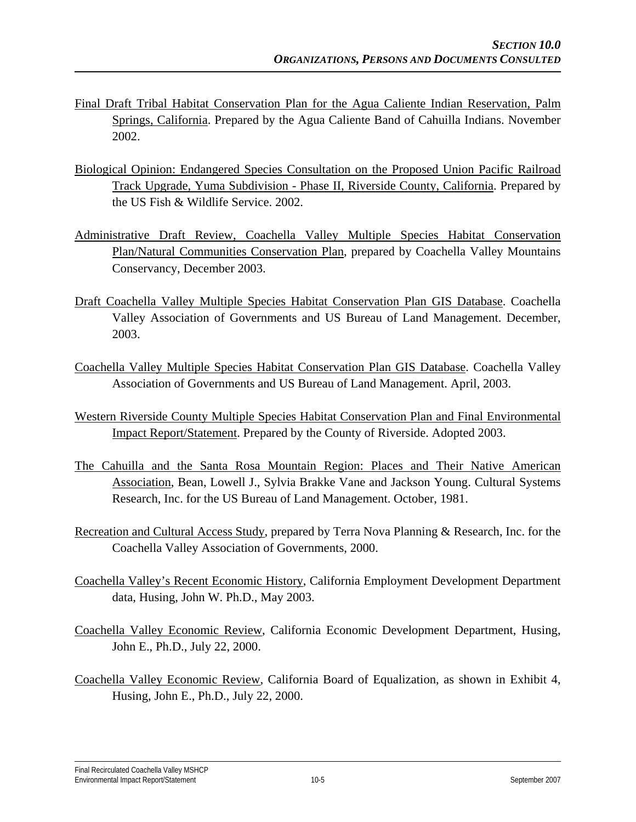- Final Draft Tribal Habitat Conservation Plan for the Agua Caliente Indian Reservation, Palm Springs, California. Prepared by the Agua Caliente Band of Cahuilla Indians. November 2002.
- Biological Opinion: Endangered Species Consultation on the Proposed Union Pacific Railroad Track Upgrade, Yuma Subdivision - Phase II, Riverside County, California. Prepared by the US Fish & Wildlife Service. 2002.
- Administrative Draft Review, Coachella Valley Multiple Species Habitat Conservation Plan/Natural Communities Conservation Plan, prepared by Coachella Valley Mountains Conservancy, December 2003.
- Draft Coachella Valley Multiple Species Habitat Conservation Plan GIS Database. Coachella Valley Association of Governments and US Bureau of Land Management. December, 2003.
- Coachella Valley Multiple Species Habitat Conservation Plan GIS Database. Coachella Valley Association of Governments and US Bureau of Land Management. April, 2003.
- Western Riverside County Multiple Species Habitat Conservation Plan and Final Environmental Impact Report/Statement. Prepared by the County of Riverside. Adopted 2003.
- The Cahuilla and the Santa Rosa Mountain Region: Places and Their Native American Association, Bean, Lowell J., Sylvia Brakke Vane and Jackson Young. Cultural Systems Research, Inc. for the US Bureau of Land Management. October, 1981.
- Recreation and Cultural Access Study, prepared by Terra Nova Planning & Research, Inc. for the Coachella Valley Association of Governments, 2000.
- Coachella Valley's Recent Economic History, California Employment Development Department data, Husing, John W. Ph.D., May 2003.
- Coachella Valley Economic Review, California Economic Development Department, Husing, John E., Ph.D., July 22, 2000.
- Coachella Valley Economic Review, California Board of Equalization, as shown in Exhibit 4, Husing, John E., Ph.D., July 22, 2000.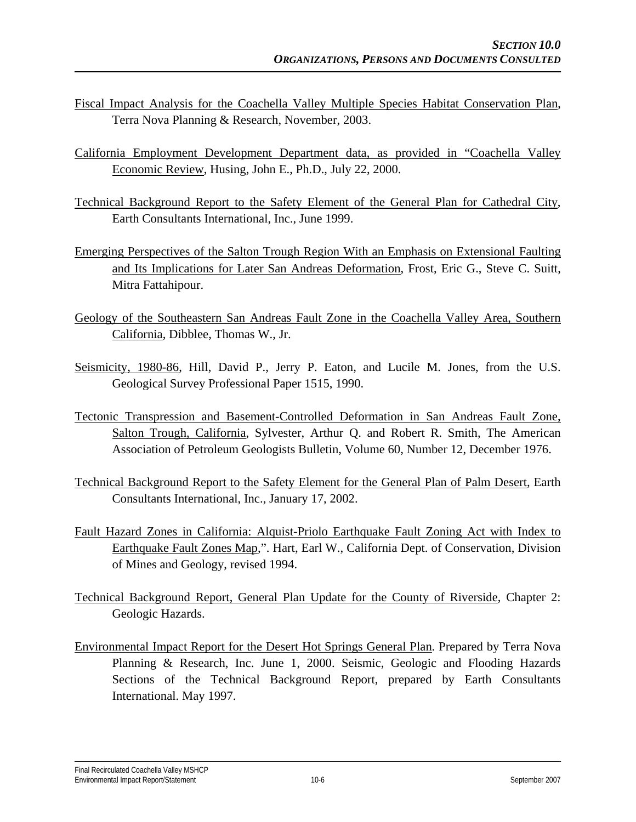- Fiscal Impact Analysis for the Coachella Valley Multiple Species Habitat Conservation Plan, Terra Nova Planning & Research, November, 2003.
- California Employment Development Department data, as provided in "Coachella Valley Economic Review, Husing, John E., Ph.D., July 22, 2000.
- Technical Background Report to the Safety Element of the General Plan for Cathedral City, Earth Consultants International, Inc., June 1999.
- Emerging Perspectives of the Salton Trough Region With an Emphasis on Extensional Faulting and Its Implications for Later San Andreas Deformation, Frost, Eric G., Steve C. Suitt, Mitra Fattahipour.
- Geology of the Southeastern San Andreas Fault Zone in the Coachella Valley Area, Southern California, Dibblee, Thomas W., Jr.
- Seismicity, 1980-86, Hill, David P., Jerry P. Eaton, and Lucile M. Jones, from the U.S. Geological Survey Professional Paper 1515, 1990.
- Tectonic Transpression and Basement-Controlled Deformation in San Andreas Fault Zone, Salton Trough, California, Sylvester, Arthur Q. and Robert R. Smith, The American Association of Petroleum Geologists Bulletin, Volume 60, Number 12, December 1976.
- Technical Background Report to the Safety Element for the General Plan of Palm Desert, Earth Consultants International, Inc., January 17, 2002.
- Fault Hazard Zones in California: Alquist-Priolo Earthquake Fault Zoning Act with Index to Earthquake Fault Zones Map,". Hart, Earl W., California Dept. of Conservation, Division of Mines and Geology, revised 1994.
- Technical Background Report, General Plan Update for the County of Riverside, Chapter 2: Geologic Hazards.
- Environmental Impact Report for the Desert Hot Springs General Plan. Prepared by Terra Nova Planning & Research, Inc. June 1, 2000. Seismic, Geologic and Flooding Hazards Sections of the Technical Background Report, prepared by Earth Consultants International. May 1997.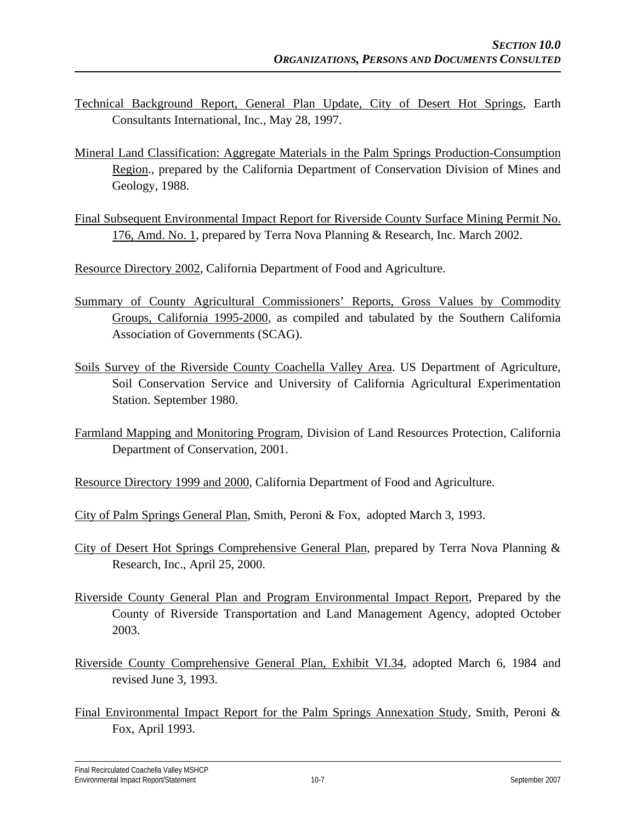- Technical Background Report, General Plan Update, City of Desert Hot Springs, Earth Consultants International, Inc., May 28, 1997.
- Mineral Land Classification: Aggregate Materials in the Palm Springs Production-Consumption Region., prepared by the California Department of Conservation Division of Mines and Geology, 1988.
- Final Subsequent Environmental Impact Report for Riverside County Surface Mining Permit No. 176, Amd. No. 1, prepared by Terra Nova Planning & Research, Inc. March 2002.

Resource Directory 2002, California Department of Food and Agriculture.

- Summary of County Agricultural Commissioners' Reports, Gross Values by Commodity Groups, California 1995-2000, as compiled and tabulated by the Southern California Association of Governments (SCAG).
- Soils Survey of the Riverside County Coachella Valley Area. US Department of Agriculture, Soil Conservation Service and University of California Agricultural Experimentation Station. September 1980.
- Farmland Mapping and Monitoring Program, Division of Land Resources Protection, California Department of Conservation, 2001.
- Resource Directory 1999 and 2000, California Department of Food and Agriculture.
- City of Palm Springs General Plan, Smith, Peroni & Fox, adopted March 3, 1993.
- City of Desert Hot Springs Comprehensive General Plan, prepared by Terra Nova Planning & Research, Inc., April 25, 2000.
- Riverside County General Plan and Program Environmental Impact Report, Prepared by the County of Riverside Transportation and Land Management Agency, adopted October 2003.
- Riverside County Comprehensive General Plan, Exhibit VI.34, adopted March 6, 1984 and revised June 3, 1993.
- Final Environmental Impact Report for the Palm Springs Annexation Study, Smith, Peroni & Fox, April 1993.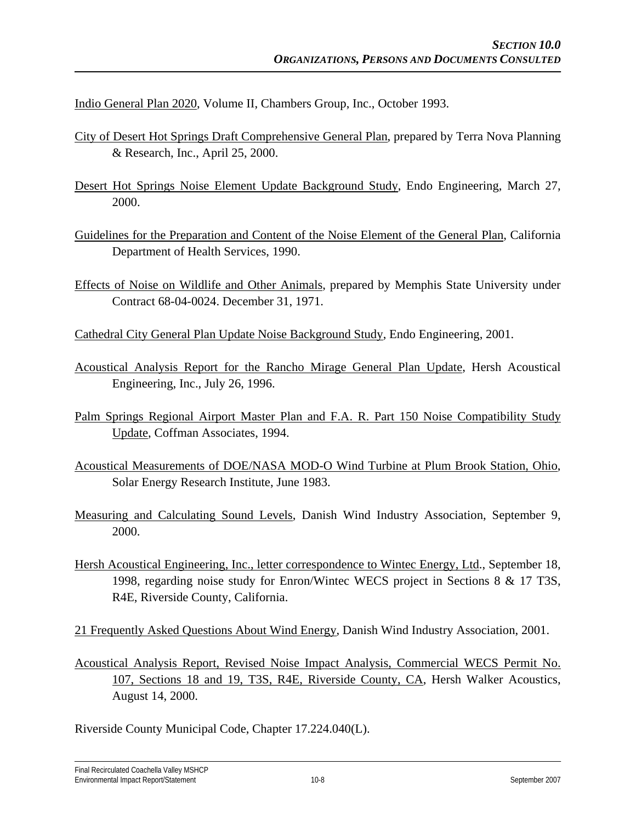Indio General Plan 2020, Volume II, Chambers Group, Inc., October 1993.

- City of Desert Hot Springs Draft Comprehensive General Plan, prepared by Terra Nova Planning & Research, Inc., April 25, 2000.
- Desert Hot Springs Noise Element Update Background Study, Endo Engineering, March 27, 2000.
- Guidelines for the Preparation and Content of the Noise Element of the General Plan, California Department of Health Services, 1990.
- Effects of Noise on Wildlife and Other Animals, prepared by Memphis State University under Contract 68-04-0024. December 31, 1971.

Cathedral City General Plan Update Noise Background Study, Endo Engineering, 2001.

- Acoustical Analysis Report for the Rancho Mirage General Plan Update, Hersh Acoustical Engineering, Inc., July 26, 1996.
- Palm Springs Regional Airport Master Plan and F.A. R. Part 150 Noise Compatibility Study Update, Coffman Associates, 1994.
- Acoustical Measurements of DOE/NASA MOD-O Wind Turbine at Plum Brook Station, Ohio, Solar Energy Research Institute, June 1983.
- Measuring and Calculating Sound Levels, Danish Wind Industry Association, September 9, 2000.
- Hersh Acoustical Engineering, Inc., letter correspondence to Wintec Energy, Ltd., September 18, 1998, regarding noise study for Enron/Wintec WECS project in Sections 8 & 17 T3S, R4E, Riverside County, California.

21 Frequently Asked Questions About Wind Energy, Danish Wind Industry Association, 2001.

Acoustical Analysis Report, Revised Noise Impact Analysis, Commercial WECS Permit No. 107, Sections 18 and 19, T3S, R4E, Riverside County, CA, Hersh Walker Acoustics, August 14, 2000.

Riverside County Municipal Code, Chapter 17.224.040(L).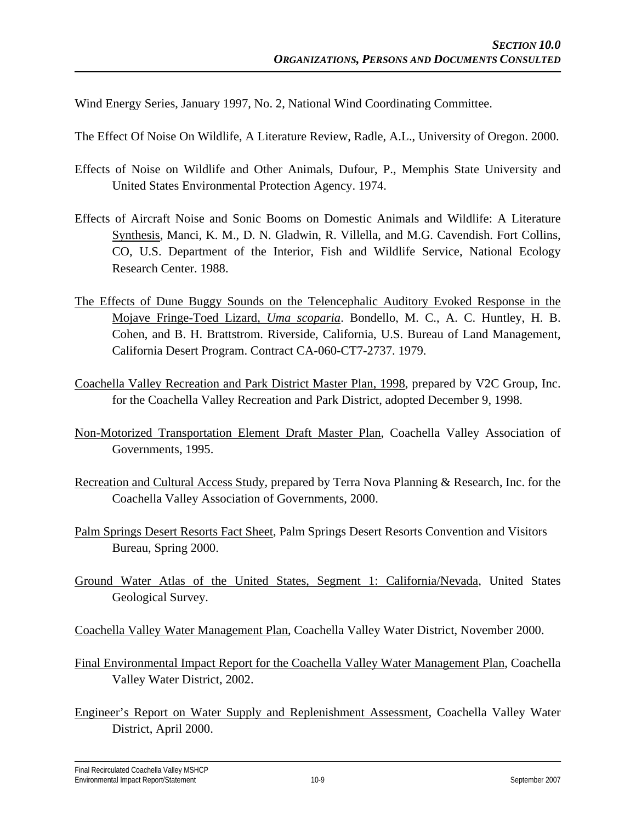Wind Energy Series, January 1997, No. 2, National Wind Coordinating Committee.

The Effect Of Noise On Wildlife, A Literature Review, Radle, A.L., University of Oregon. 2000.

- Effects of Noise on Wildlife and Other Animals, Dufour, P., Memphis State University and United States Environmental Protection Agency. 1974.
- Effects of Aircraft Noise and Sonic Booms on Domestic Animals and Wildlife: A Literature Synthesis, Manci, K. M., D. N. Gladwin, R. Villella, and M.G. Cavendish. Fort Collins, CO, U.S. Department of the Interior, Fish and Wildlife Service, National Ecology Research Center. 1988.
- The Effects of Dune Buggy Sounds on the Telencephalic Auditory Evoked Response in the Mojave Fringe-Toed Lizard, *Uma scoparia*. Bondello, M. C., A. C. Huntley, H. B. Cohen, and B. H. Brattstrom. Riverside, California, U.S. Bureau of Land Management, California Desert Program. Contract CA-060-CT7-2737. 1979.
- Coachella Valley Recreation and Park District Master Plan, 1998, prepared by V2C Group, Inc. for the Coachella Valley Recreation and Park District, adopted December 9, 1998.
- Non-Motorized Transportation Element Draft Master Plan, Coachella Valley Association of Governments, 1995.
- Recreation and Cultural Access Study, prepared by Terra Nova Planning & Research, Inc. for the Coachella Valley Association of Governments, 2000.
- Palm Springs Desert Resorts Fact Sheet, Palm Springs Desert Resorts Convention and Visitors Bureau, Spring 2000.
- Ground Water Atlas of the United States, Segment 1: California/Nevada, United States Geological Survey.
- Coachella Valley Water Management Plan, Coachella Valley Water District, November 2000.
- Final Environmental Impact Report for the Coachella Valley Water Management Plan, Coachella Valley Water District, 2002.
- Engineer's Report on Water Supply and Replenishment Assessment, Coachella Valley Water District, April 2000.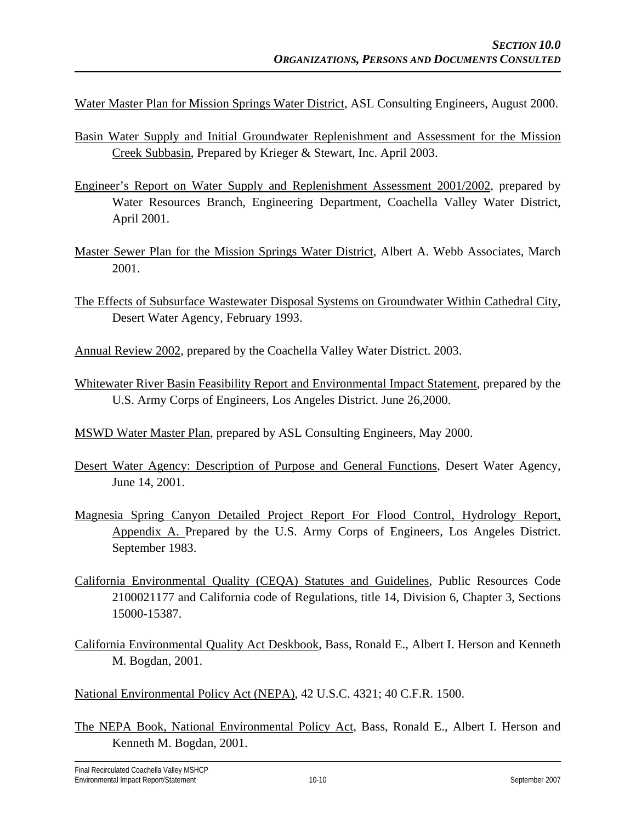Water Master Plan for Mission Springs Water District, ASL Consulting Engineers, August 2000.

- Basin Water Supply and Initial Groundwater Replenishment and Assessment for the Mission Creek Subbasin, Prepared by Krieger & Stewart, Inc. April 2003.
- Engineer's Report on Water Supply and Replenishment Assessment 2001/2002, prepared by Water Resources Branch, Engineering Department, Coachella Valley Water District, April 2001.
- Master Sewer Plan for the Mission Springs Water District, Albert A. Webb Associates, March 2001.
- The Effects of Subsurface Wastewater Disposal Systems on Groundwater Within Cathedral City, Desert Water Agency, February 1993.
- Annual Review 2002, prepared by the Coachella Valley Water District. 2003.
- Whitewater River Basin Feasibility Report and Environmental Impact Statement, prepared by the U.S. Army Corps of Engineers, Los Angeles District. June 26,2000.
- MSWD Water Master Plan, prepared by ASL Consulting Engineers, May 2000.
- Desert Water Agency: Description of Purpose and General Functions, Desert Water Agency, June 14, 2001.
- Magnesia Spring Canyon Detailed Project Report For Flood Control, Hydrology Report, Appendix A. Prepared by the U.S. Army Corps of Engineers, Los Angeles District. September 1983.
- California Environmental Quality (CEQA) Statutes and Guidelines, Public Resources Code 2100021177 and California code of Regulations, title 14, Division 6, Chapter 3, Sections 15000-15387.
- California Environmental Quality Act Deskbook, Bass, Ronald E., Albert I. Herson and Kenneth M. Bogdan, 2001.
- National Environmental Policy Act (NEPA), 42 U.S.C. 4321; 40 C.F.R. 1500.
- The NEPA Book, National Environmental Policy Act, Bass, Ronald E., Albert I. Herson and Kenneth M. Bogdan, 2001.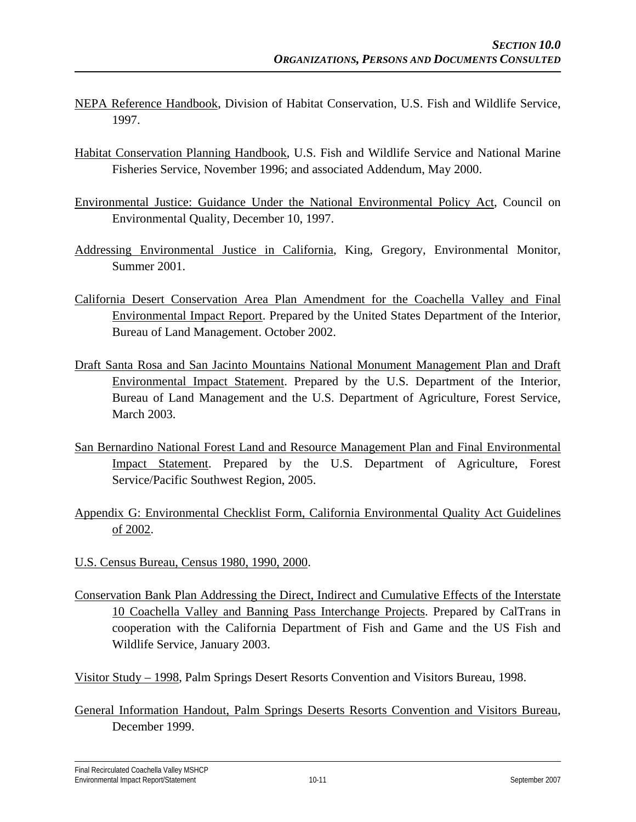- NEPA Reference Handbook, Division of Habitat Conservation, U.S. Fish and Wildlife Service, 1997.
- Habitat Conservation Planning Handbook, U.S. Fish and Wildlife Service and National Marine Fisheries Service, November 1996; and associated Addendum, May 2000.
- Environmental Justice: Guidance Under the National Environmental Policy Act, Council on Environmental Quality, December 10, 1997.
- Addressing Environmental Justice in California, King, Gregory, Environmental Monitor, Summer 2001.
- California Desert Conservation Area Plan Amendment for the Coachella Valley and Final Environmental Impact Report. Prepared by the United States Department of the Interior, Bureau of Land Management. October 2002.
- Draft Santa Rosa and San Jacinto Mountains National Monument Management Plan and Draft Environmental Impact Statement. Prepared by the U.S. Department of the Interior, Bureau of Land Management and the U.S. Department of Agriculture, Forest Service, March 2003.
- San Bernardino National Forest Land and Resource Management Plan and Final Environmental Impact Statement. Prepared by the U.S. Department of Agriculture, Forest Service/Pacific Southwest Region, 2005.
- Appendix G: Environmental Checklist Form, California Environmental Quality Act Guidelines of 2002.
- U.S. Census Bureau, Census 1980, 1990, 2000.
- Conservation Bank Plan Addressing the Direct, Indirect and Cumulative Effects of the Interstate 10 Coachella Valley and Banning Pass Interchange Projects. Prepared by CalTrans in cooperation with the California Department of Fish and Game and the US Fish and Wildlife Service, January 2003.

Visitor Study – 1998, Palm Springs Desert Resorts Convention and Visitors Bureau, 1998.

General Information Handout, Palm Springs Deserts Resorts Convention and Visitors Bureau, December 1999.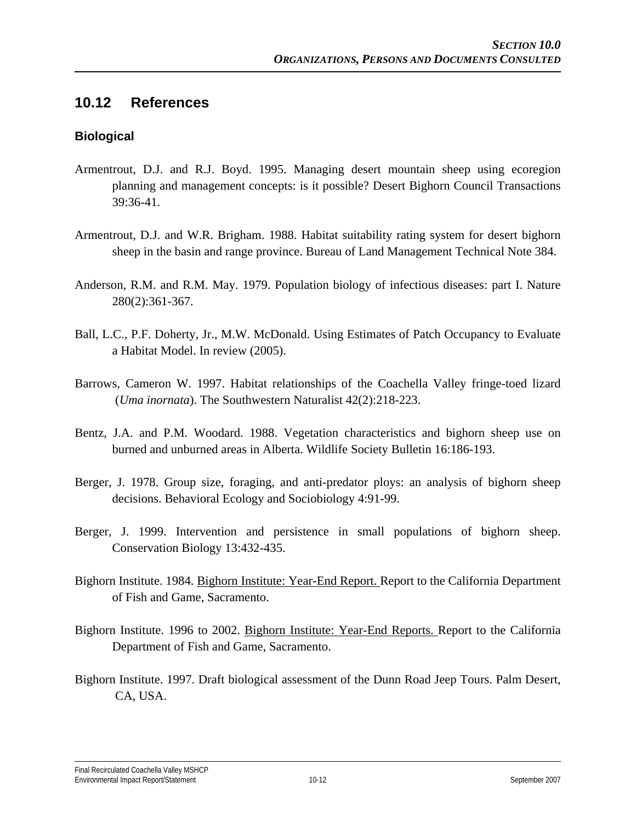#### **10.12 References**

#### **Biological**

- Armentrout, D.J. and R.J. Boyd. 1995. Managing desert mountain sheep using ecoregion planning and management concepts: is it possible? Desert Bighorn Council Transactions 39:36-41.
- Armentrout, D.J. and W.R. Brigham. 1988. Habitat suitability rating system for desert bighorn sheep in the basin and range province. Bureau of Land Management Technical Note 384.
- Anderson, R.M. and R.M. May. 1979. Population biology of infectious diseases: part I. Nature 280(2):361-367.
- Ball, L.C., P.F. Doherty, Jr., M.W. McDonald. Using Estimates of Patch Occupancy to Evaluate a Habitat Model. In review (2005).
- Barrows, Cameron W. 1997. Habitat relationships of the Coachella Valley fringe-toed lizard (*Uma inornata*). The Southwestern Naturalist 42(2):218-223.
- Bentz, J.A. and P.M. Woodard. 1988. Vegetation characteristics and bighorn sheep use on burned and unburned areas in Alberta. Wildlife Society Bulletin 16:186-193.
- Berger, J. 1978. Group size, foraging, and anti-predator ploys: an analysis of bighorn sheep decisions. Behavioral Ecology and Sociobiology 4:91-99.
- Berger, J. 1999. Intervention and persistence in small populations of bighorn sheep. Conservation Biology 13:432-435.
- Bighorn Institute. 1984. Bighorn Institute: Year-End Report. Report to the California Department of Fish and Game, Sacramento.
- Bighorn Institute. 1996 to 2002. Bighorn Institute: Year-End Reports. Report to the California Department of Fish and Game, Sacramento.
- Bighorn Institute. 1997. Draft biological assessment of the Dunn Road Jeep Tours. Palm Desert, CA, USA.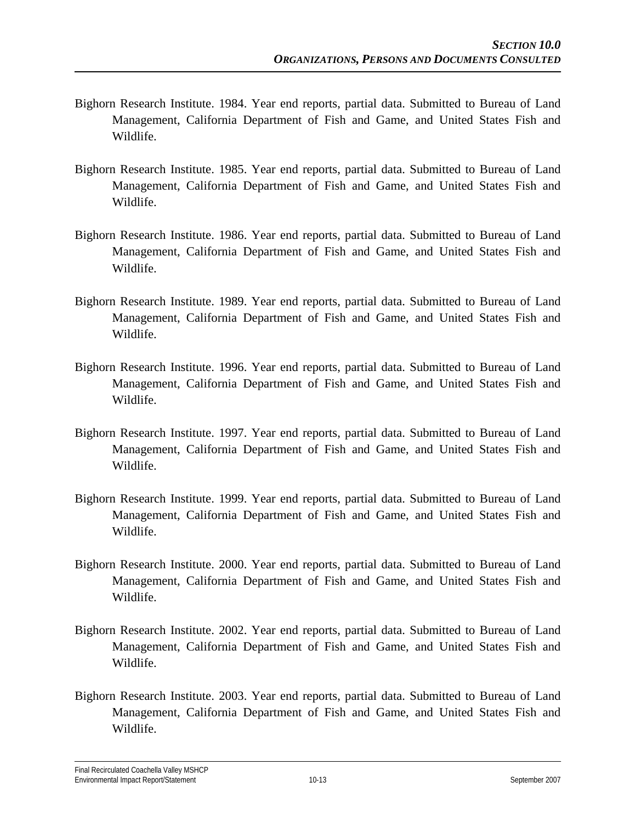- Bighorn Research Institute. 1984. Year end reports, partial data. Submitted to Bureau of Land Management, California Department of Fish and Game, and United States Fish and Wildlife.
- Bighorn Research Institute. 1985. Year end reports, partial data. Submitted to Bureau of Land Management, California Department of Fish and Game, and United States Fish and Wildlife.
- Bighorn Research Institute. 1986. Year end reports, partial data. Submitted to Bureau of Land Management, California Department of Fish and Game, and United States Fish and Wildlife.
- Bighorn Research Institute. 1989. Year end reports, partial data. Submitted to Bureau of Land Management, California Department of Fish and Game, and United States Fish and Wildlife.
- Bighorn Research Institute. 1996. Year end reports, partial data. Submitted to Bureau of Land Management, California Department of Fish and Game, and United States Fish and Wildlife.
- Bighorn Research Institute. 1997. Year end reports, partial data. Submitted to Bureau of Land Management, California Department of Fish and Game, and United States Fish and Wildlife.
- Bighorn Research Institute. 1999. Year end reports, partial data. Submitted to Bureau of Land Management, California Department of Fish and Game, and United States Fish and Wildlife.
- Bighorn Research Institute. 2000. Year end reports, partial data. Submitted to Bureau of Land Management, California Department of Fish and Game, and United States Fish and Wildlife.
- Bighorn Research Institute. 2002. Year end reports, partial data. Submitted to Bureau of Land Management, California Department of Fish and Game, and United States Fish and Wildlife.
- Bighorn Research Institute. 2003. Year end reports, partial data. Submitted to Bureau of Land Management, California Department of Fish and Game, and United States Fish and Wildlife.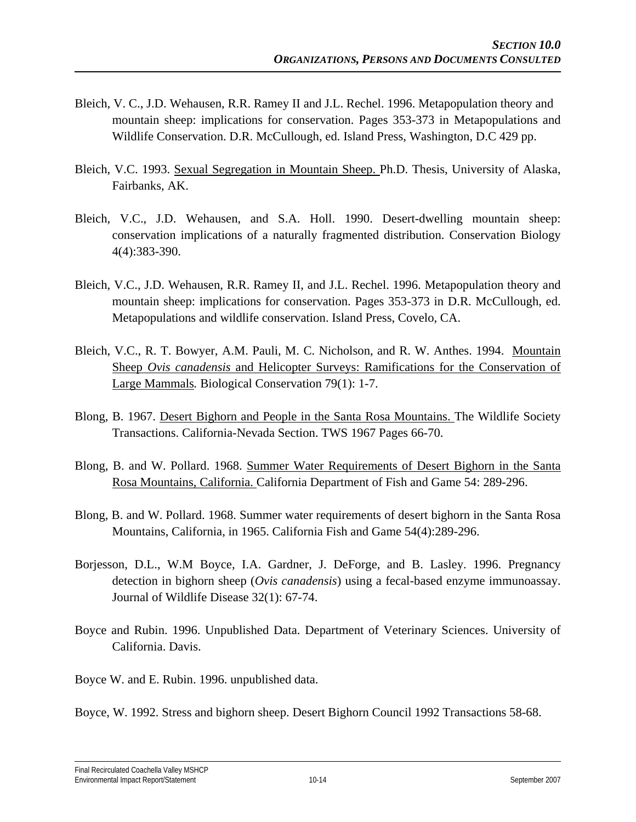- Bleich, V. C., J.D. Wehausen, R.R. Ramey II and J.L. Rechel. 1996. Metapopulation theory and mountain sheep: implications for conservation. Pages 353-373 in Metapopulations and Wildlife Conservation. D.R. McCullough, ed. Island Press, Washington, D.C 429 pp.
- Bleich, V.C. 1993. Sexual Segregation in Mountain Sheep. Ph.D. Thesis, University of Alaska, Fairbanks, AK.
- Bleich, V.C., J.D. Wehausen, and S.A. Holl. 1990. Desert-dwelling mountain sheep: conservation implications of a naturally fragmented distribution. Conservation Biology 4(4):383-390.
- Bleich, V.C., J.D. Wehausen, R.R. Ramey II, and J.L. Rechel. 1996. Metapopulation theory and mountain sheep: implications for conservation. Pages 353-373 in D.R. McCullough, ed. Metapopulations and wildlife conservation. Island Press, Covelo, CA.
- Bleich, V.C., R. T. Bowyer, A.M. Pauli, M. C. Nicholson, and R. W. Anthes. 1994. Mountain Sheep *Ovis canadensis* and Helicopter Surveys: Ramifications for the Conservation of Large Mammals*.* Biological Conservation 79(1): 1-7.
- Blong, B. 1967. Desert Bighorn and People in the Santa Rosa Mountains. The Wildlife Society Transactions. California-Nevada Section. TWS 1967 Pages 66-70.
- Blong, B. and W. Pollard. 1968. Summer Water Requirements of Desert Bighorn in the Santa Rosa Mountains, California. California Department of Fish and Game 54: 289-296.
- Blong, B. and W. Pollard. 1968. Summer water requirements of desert bighorn in the Santa Rosa Mountains, California, in 1965. California Fish and Game 54(4):289-296.
- Borjesson, D.L., W.M Boyce, I.A. Gardner, J. DeForge, and B. Lasley. 1996. Pregnancy detection in bighorn sheep (*Ovis canadensis*) using a fecal-based enzyme immunoassay. Journal of Wildlife Disease 32(1): 67-74.
- Boyce and Rubin. 1996. Unpublished Data. Department of Veterinary Sciences. University of California. Davis.
- Boyce W. and E. Rubin. 1996. unpublished data.
- Boyce, W. 1992. Stress and bighorn sheep. Desert Bighorn Council 1992 Transactions 58-68.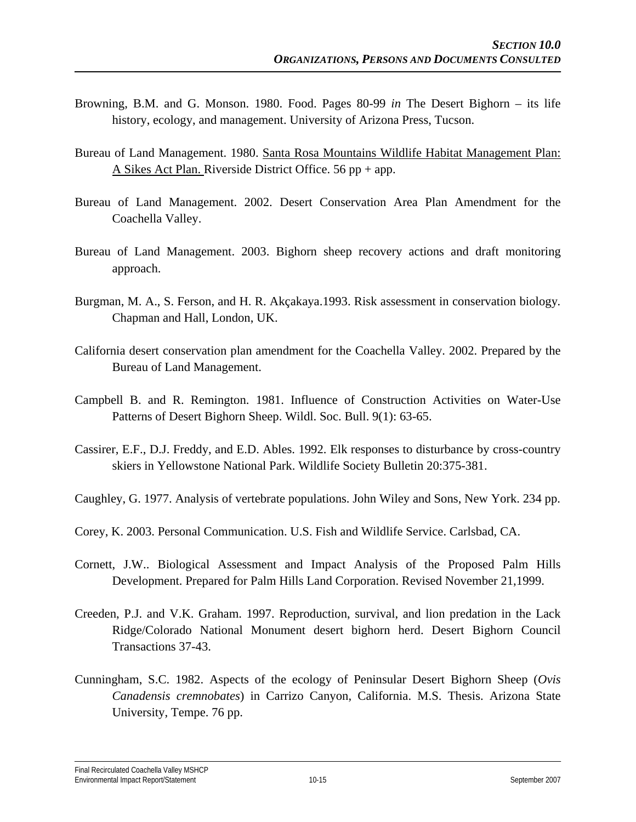- Browning, B.M. and G. Monson. 1980. Food. Pages 80-99 *in* The Desert Bighorn its life history, ecology, and management. University of Arizona Press, Tucson.
- Bureau of Land Management. 1980. Santa Rosa Mountains Wildlife Habitat Management Plan: A Sikes Act Plan. Riverside District Office. 56 pp + app.
- Bureau of Land Management. 2002. Desert Conservation Area Plan Amendment for the Coachella Valley.
- Bureau of Land Management. 2003. Bighorn sheep recovery actions and draft monitoring approach.
- Burgman, M. A., S. Ferson, and H. R. Akçakaya.1993. Risk assessment in conservation biology*.*  Chapman and Hall, London, UK.
- California desert conservation plan amendment for the Coachella Valley. 2002. Prepared by the Bureau of Land Management.
- Campbell B. and R. Remington. 1981. Influence of Construction Activities on Water-Use Patterns of Desert Bighorn Sheep. Wildl. Soc. Bull. 9(1): 63-65.
- Cassirer, E.F., D.J. Freddy, and E.D. Ables. 1992. Elk responses to disturbance by cross-country skiers in Yellowstone National Park. Wildlife Society Bulletin 20:375-381.
- Caughley, G. 1977. Analysis of vertebrate populations. John Wiley and Sons, New York. 234 pp.
- Corey, K. 2003. Personal Communication. U.S. Fish and Wildlife Service. Carlsbad, CA.
- Cornett, J.W.. Biological Assessment and Impact Analysis of the Proposed Palm Hills Development. Prepared for Palm Hills Land Corporation. Revised November 21,1999.
- Creeden, P.J. and V.K. Graham. 1997. Reproduction, survival, and lion predation in the Lack Ridge/Colorado National Monument desert bighorn herd. Desert Bighorn Council Transactions 37-43.
- Cunningham, S.C. 1982. Aspects of the ecology of Peninsular Desert Bighorn Sheep (*Ovis Canadensis cremnobates*) in Carrizo Canyon, California. M.S. Thesis. Arizona State University, Tempe. 76 pp.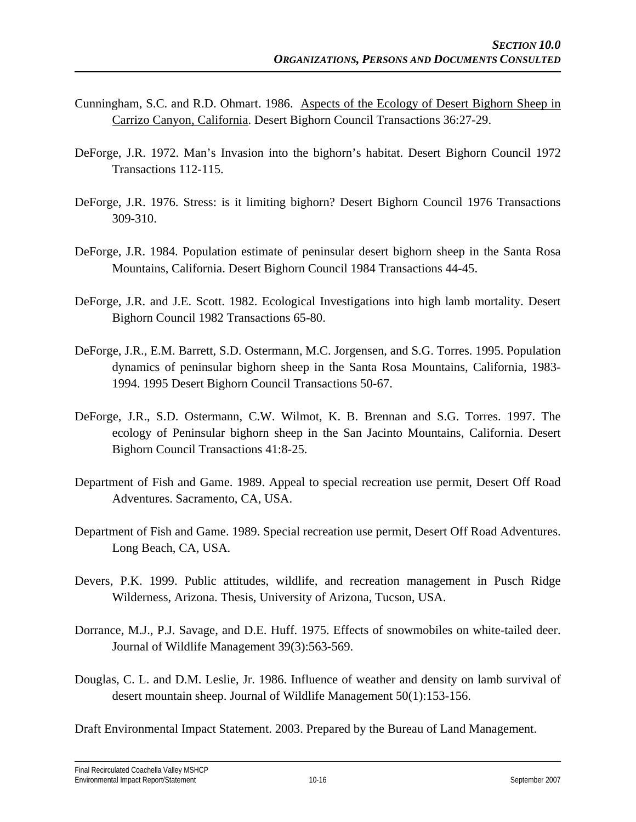- Cunningham, S.C. and R.D. Ohmart. 1986. Aspects of the Ecology of Desert Bighorn Sheep in Carrizo Canyon, California. Desert Bighorn Council Transactions 36:27-29.
- DeForge, J.R. 1972. Man's Invasion into the bighorn's habitat. Desert Bighorn Council 1972 Transactions 112-115.
- DeForge, J.R. 1976. Stress: is it limiting bighorn? Desert Bighorn Council 1976 Transactions 309-310.
- DeForge, J.R. 1984. Population estimate of peninsular desert bighorn sheep in the Santa Rosa Mountains, California. Desert Bighorn Council 1984 Transactions 44-45.
- DeForge, J.R. and J.E. Scott. 1982. Ecological Investigations into high lamb mortality. Desert Bighorn Council 1982 Transactions 65-80.
- DeForge, J.R., E.M. Barrett, S.D. Ostermann, M.C. Jorgensen, and S.G. Torres. 1995. Population dynamics of peninsular bighorn sheep in the Santa Rosa Mountains, California, 1983- 1994. 1995 Desert Bighorn Council Transactions 50-67.
- DeForge, J.R., S.D. Ostermann, C.W. Wilmot, K. B. Brennan and S.G. Torres. 1997. The ecology of Peninsular bighorn sheep in the San Jacinto Mountains, California. Desert Bighorn Council Transactions 41:8-25.
- Department of Fish and Game. 1989. Appeal to special recreation use permit, Desert Off Road Adventures. Sacramento, CA, USA.
- Department of Fish and Game. 1989. Special recreation use permit, Desert Off Road Adventures. Long Beach, CA, USA.
- Devers, P.K. 1999. Public attitudes, wildlife, and recreation management in Pusch Ridge Wilderness, Arizona. Thesis, University of Arizona, Tucson, USA.
- Dorrance, M.J., P.J. Savage, and D.E. Huff. 1975. Effects of snowmobiles on white-tailed deer. Journal of Wildlife Management 39(3):563-569.
- Douglas, C. L. and D.M. Leslie, Jr. 1986. Influence of weather and density on lamb survival of desert mountain sheep. Journal of Wildlife Management 50(1):153-156.

Draft Environmental Impact Statement. 2003. Prepared by the Bureau of Land Management.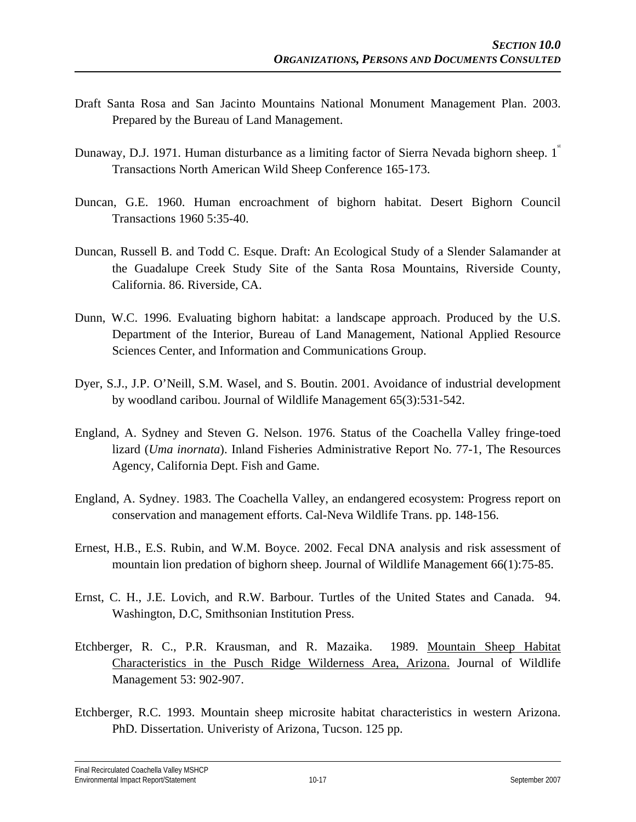- Draft Santa Rosa and San Jacinto Mountains National Monument Management Plan. 2003. Prepared by the Bureau of Land Management.
- Dunaway, D.J. 1971. Human disturbance as a limiting factor of Sierra Nevada bighorn sheep. 1<sup>n</sup> Transactions North American Wild Sheep Conference 165-173.
- Duncan, G.E. 1960. Human encroachment of bighorn habitat. Desert Bighorn Council Transactions 1960 5:35-40.
- Duncan, Russell B. and Todd C. Esque. Draft: An Ecological Study of a Slender Salamander at the Guadalupe Creek Study Site of the Santa Rosa Mountains, Riverside County, California. 86. Riverside, CA.
- Dunn, W.C. 1996. Evaluating bighorn habitat: a landscape approach. Produced by the U.S. Department of the Interior, Bureau of Land Management, National Applied Resource Sciences Center, and Information and Communications Group.
- Dyer, S.J., J.P. O'Neill, S.M. Wasel, and S. Boutin. 2001. Avoidance of industrial development by woodland caribou. Journal of Wildlife Management 65(3):531-542.
- England, A. Sydney and Steven G. Nelson. 1976. Status of the Coachella Valley fringe-toed lizard (*Uma inornata*). Inland Fisheries Administrative Report No. 77-1, The Resources Agency, California Dept. Fish and Game.
- England, A. Sydney. 1983. The Coachella Valley, an endangered ecosystem: Progress report on conservation and management efforts. Cal-Neva Wildlife Trans. pp. 148-156.
- Ernest, H.B., E.S. Rubin, and W.M. Boyce. 2002. Fecal DNA analysis and risk assessment of mountain lion predation of bighorn sheep. Journal of Wildlife Management 66(1):75-85.
- Ernst, C. H., J.E. Lovich, and R.W. Barbour. Turtles of the United States and Canada. 94. Washington, D.C, Smithsonian Institution Press.
- Etchberger, R. C., P.R. Krausman, and R. Mazaika. 1989. Mountain Sheep Habitat Characteristics in the Pusch Ridge Wilderness Area, Arizona. Journal of Wildlife Management 53: 902-907.
- Etchberger, R.C. 1993. Mountain sheep microsite habitat characteristics in western Arizona. PhD. Dissertation. Univeristy of Arizona, Tucson. 125 pp.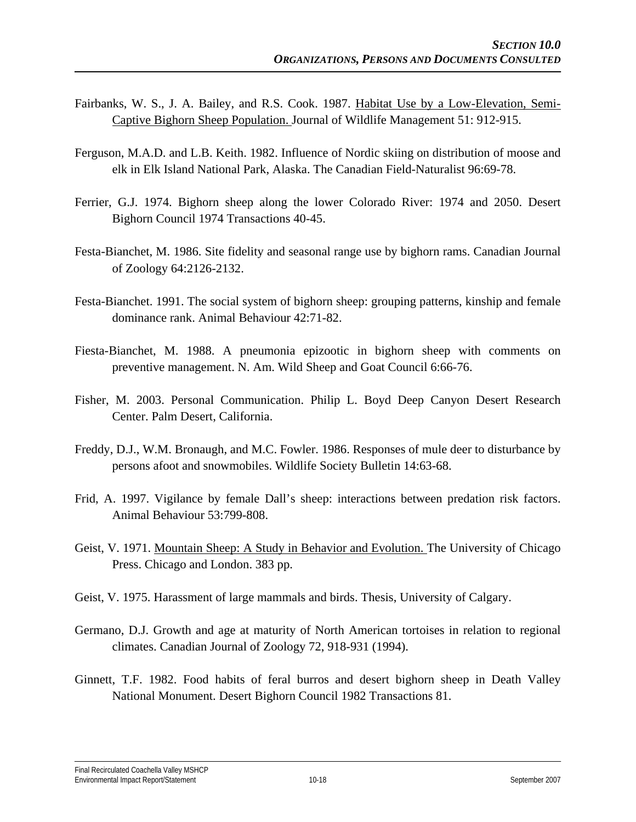- Fairbanks, W. S., J. A. Bailey, and R.S. Cook. 1987. Habitat Use by a Low-Elevation, Semi-Captive Bighorn Sheep Population. Journal of Wildlife Management 51: 912-915.
- Ferguson, M.A.D. and L.B. Keith. 1982. Influence of Nordic skiing on distribution of moose and elk in Elk Island National Park, Alaska. The Canadian Field-Naturalist 96:69-78.
- Ferrier, G.J. 1974. Bighorn sheep along the lower Colorado River: 1974 and 2050. Desert Bighorn Council 1974 Transactions 40-45.
- Festa-Bianchet, M. 1986. Site fidelity and seasonal range use by bighorn rams. Canadian Journal of Zoology 64:2126-2132.
- Festa-Bianchet. 1991. The social system of bighorn sheep: grouping patterns, kinship and female dominance rank. Animal Behaviour 42:71-82.
- Fiesta-Bianchet, M. 1988. A pneumonia epizootic in bighorn sheep with comments on preventive management. N. Am. Wild Sheep and Goat Council 6:66-76.
- Fisher, M. 2003. Personal Communication. Philip L. Boyd Deep Canyon Desert Research Center. Palm Desert, California.
- Freddy, D.J., W.M. Bronaugh, and M.C. Fowler. 1986. Responses of mule deer to disturbance by persons afoot and snowmobiles. Wildlife Society Bulletin 14:63-68.
- Frid, A. 1997. Vigilance by female Dall's sheep: interactions between predation risk factors. Animal Behaviour 53:799-808.
- Geist, V. 1971. Mountain Sheep: A Study in Behavior and Evolution. The University of Chicago Press. Chicago and London. 383 pp.
- Geist, V. 1975. Harassment of large mammals and birds. Thesis, University of Calgary.
- Germano, D.J. Growth and age at maturity of North American tortoises in relation to regional climates. Canadian Journal of Zoology 72, 918-931 (1994).
- Ginnett, T.F. 1982. Food habits of feral burros and desert bighorn sheep in Death Valley National Monument. Desert Bighorn Council 1982 Transactions 81.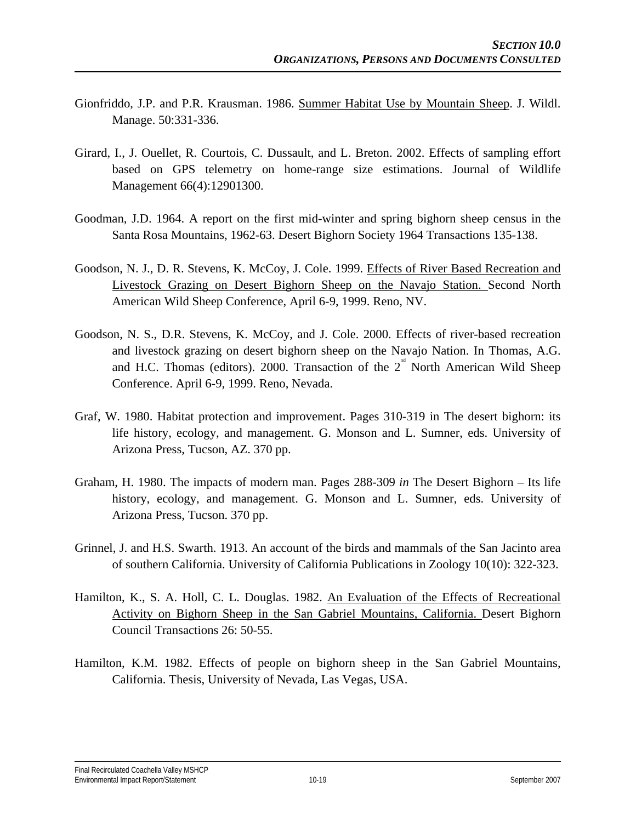- Gionfriddo, J.P. and P.R. Krausman. 1986. Summer Habitat Use by Mountain Sheep. J. Wildl. Manage. 50:331-336.
- Girard, I., J. Ouellet, R. Courtois, C. Dussault, and L. Breton. 2002. Effects of sampling effort based on GPS telemetry on home-range size estimations. Journal of Wildlife Management 66(4):12901300.
- Goodman, J.D. 1964. A report on the first mid-winter and spring bighorn sheep census in the Santa Rosa Mountains, 1962-63. Desert Bighorn Society 1964 Transactions 135-138.
- Goodson, N. J., D. R. Stevens, K. McCoy, J. Cole. 1999. Effects of River Based Recreation and Livestock Grazing on Desert Bighorn Sheep on the Navajo Station. Second North American Wild Sheep Conference, April 6-9, 1999. Reno, NV.
- Goodson, N. S., D.R. Stevens, K. McCoy, and J. Cole. 2000. Effects of river-based recreation and livestock grazing on desert bighorn sheep on the Navajo Nation. In Thomas, A.G. and H.C. Thomas (editors). 2000. Transaction of the  $2<sup>nd</sup>$  North American Wild Sheep Conference. April 6-9, 1999. Reno, Nevada.
- Graf, W. 1980. Habitat protection and improvement. Pages 310-319 in The desert bighorn: its life history, ecology, and management. G. Monson and L. Sumner, eds. University of Arizona Press, Tucson, AZ. 370 pp.
- Graham, H. 1980. The impacts of modern man. Pages 288-309 *in* The Desert Bighorn Its life history, ecology, and management. G. Monson and L. Sumner, eds. University of Arizona Press, Tucson. 370 pp.
- Grinnel, J. and H.S. Swarth. 1913. An account of the birds and mammals of the San Jacinto area of southern California. University of California Publications in Zoology 10(10): 322-323.
- Hamilton, K., S. A. Holl, C. L. Douglas. 1982. An Evaluation of the Effects of Recreational Activity on Bighorn Sheep in the San Gabriel Mountains, California. Desert Bighorn Council Transactions 26: 50-55.
- Hamilton, K.M. 1982. Effects of people on bighorn sheep in the San Gabriel Mountains, California. Thesis, University of Nevada, Las Vegas, USA.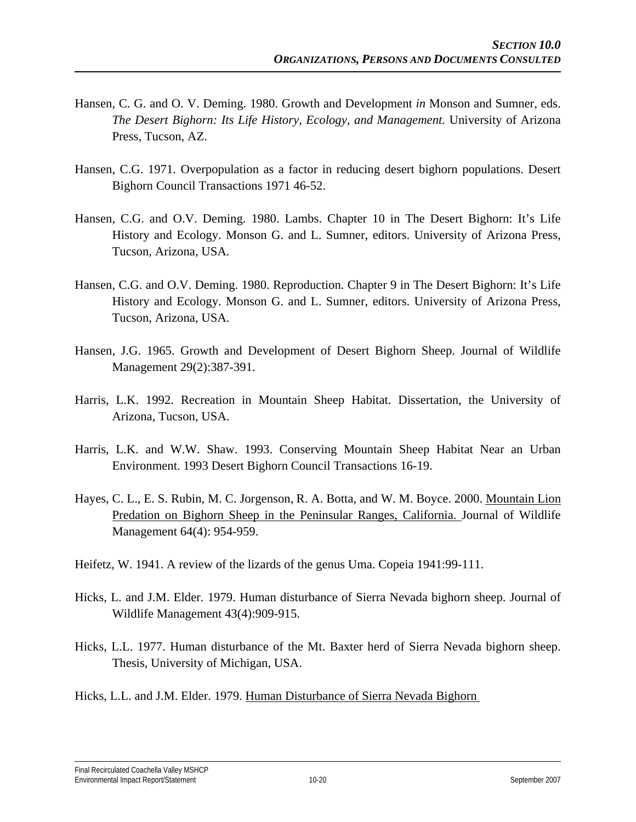- Hansen, C. G. and O. V. Deming. 1980. Growth and Development *in* Monson and Sumner, eds. *The Desert Bighorn: Its Life History, Ecology, and Management.* University of Arizona Press, Tucson, AZ.
- Hansen, C.G. 1971. Overpopulation as a factor in reducing desert bighorn populations. Desert Bighorn Council Transactions 1971 46-52.
- Hansen, C.G. and O.V. Deming. 1980. Lambs. Chapter 10 in The Desert Bighorn: It's Life History and Ecology. Monson G. and L. Sumner, editors. University of Arizona Press, Tucson, Arizona, USA.
- Hansen, C.G. and O.V. Deming. 1980. Reproduction. Chapter 9 in The Desert Bighorn: It's Life History and Ecology. Monson G. and L. Sumner, editors. University of Arizona Press, Tucson, Arizona, USA.
- Hansen, J.G. 1965. Growth and Development of Desert Bighorn Sheep. Journal of Wildlife Management 29(2):387-391.
- Harris, L.K. 1992. Recreation in Mountain Sheep Habitat. Dissertation, the University of Arizona, Tucson, USA.
- Harris, L.K. and W.W. Shaw. 1993. Conserving Mountain Sheep Habitat Near an Urban Environment. 1993 Desert Bighorn Council Transactions 16-19.
- Hayes, C. L., E. S. Rubin, M. C. Jorgenson, R. A. Botta, and W. M. Boyce. 2000. Mountain Lion Predation on Bighorn Sheep in the Peninsular Ranges, California. Journal of Wildlife Management 64(4): 954-959.
- Heifetz, W. 1941. A review of the lizards of the genus Uma. Copeia 1941:99-111.
- Hicks, L. and J.M. Elder. 1979. Human disturbance of Sierra Nevada bighorn sheep. Journal of Wildlife Management 43(4):909-915.
- Hicks, L.L. 1977. Human disturbance of the Mt. Baxter herd of Sierra Nevada bighorn sheep. Thesis, University of Michigan, USA.
- Hicks, L.L. and J.M. Elder. 1979. Human Disturbance of Sierra Nevada Bighorn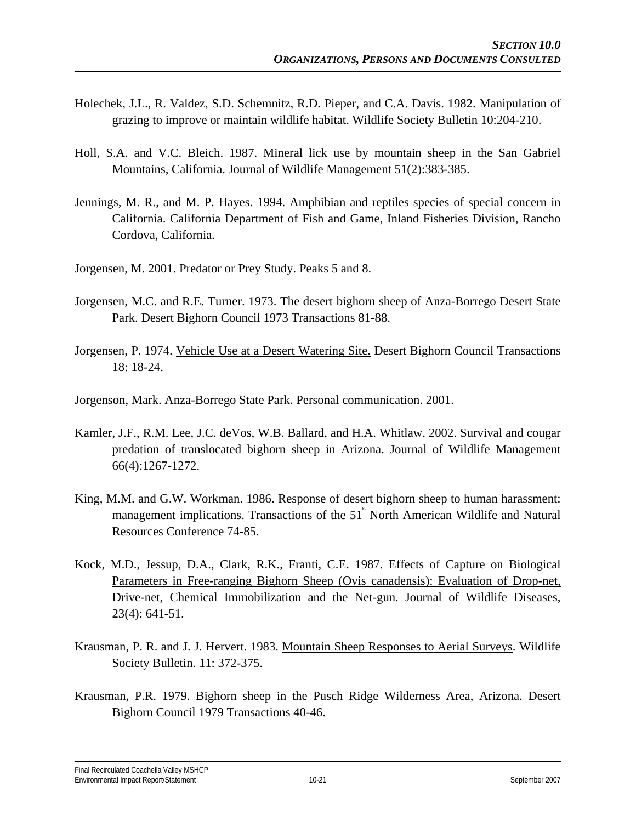- Holechek, J.L., R. Valdez, S.D. Schemnitz, R.D. Pieper, and C.A. Davis. 1982. Manipulation of grazing to improve or maintain wildlife habitat. Wildlife Society Bulletin 10:204-210.
- Holl, S.A. and V.C. Bleich. 1987. Mineral lick use by mountain sheep in the San Gabriel Mountains, California. Journal of Wildlife Management 51(2):383-385.
- Jennings, M. R., and M. P. Hayes. 1994. Amphibian and reptiles species of special concern in California. California Department of Fish and Game, Inland Fisheries Division, Rancho Cordova, California.
- Jorgensen, M. 2001. Predator or Prey Study. Peaks 5 and 8.
- Jorgensen, M.C. and R.E. Turner. 1973. The desert bighorn sheep of Anza-Borrego Desert State Park. Desert Bighorn Council 1973 Transactions 81-88.
- Jorgensen, P. 1974. Vehicle Use at a Desert Watering Site. Desert Bighorn Council Transactions 18: 18-24.
- Jorgenson, Mark. Anza-Borrego State Park. Personal communication. 2001.
- Kamler, J.F., R.M. Lee, J.C. deVos, W.B. Ballard, and H.A. Whitlaw. 2002. Survival and cougar predation of translocated bighorn sheep in Arizona. Journal of Wildlife Management 66(4):1267-1272.
- King, M.M. and G.W. Workman. 1986. Response of desert bighorn sheep to human harassment: management implications. Transactions of the  $51^{\degree}$  North American Wildlife and Natural Resources Conference 74-85.
- Kock, M.D., Jessup, D.A., Clark, R.K., Franti, C.E. 1987. Effects of Capture on Biological Parameters in Free-ranging Bighorn Sheep (Ovis canadensis): Evaluation of Drop-net, Drive-net, Chemical Immobilization and the Net-gun. Journal of Wildlife Diseases, 23(4): 641-51.
- Krausman, P. R. and J. J. Hervert. 1983. Mountain Sheep Responses to Aerial Surveys. Wildlife Society Bulletin. 11: 372-375.
- Krausman, P.R. 1979. Bighorn sheep in the Pusch Ridge Wilderness Area, Arizona. Desert Bighorn Council 1979 Transactions 40-46.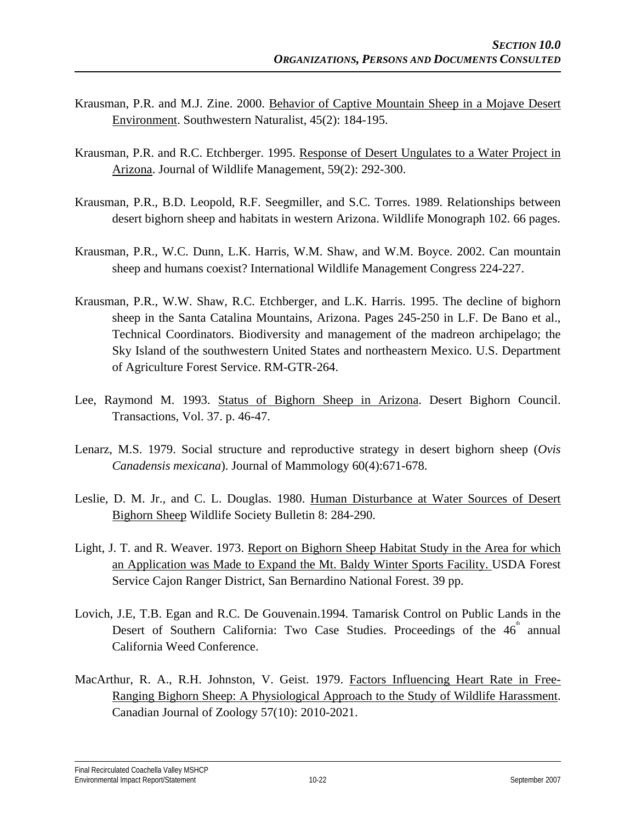- Krausman, P.R. and M.J. Zine. 2000. Behavior of Captive Mountain Sheep in a Mojave Desert Environment. Southwestern Naturalist, 45(2): 184-195.
- Krausman, P.R. and R.C. Etchberger. 1995. Response of Desert Ungulates to a Water Project in Arizona. Journal of Wildlife Management, 59(2): 292-300.
- Krausman, P.R., B.D. Leopold, R.F. Seegmiller, and S.C. Torres. 1989. Relationships between desert bighorn sheep and habitats in western Arizona. Wildlife Monograph 102. 66 pages.
- Krausman, P.R., W.C. Dunn, L.K. Harris, W.M. Shaw, and W.M. Boyce. 2002. Can mountain sheep and humans coexist? International Wildlife Management Congress 224-227.
- Krausman, P.R., W.W. Shaw, R.C. Etchberger, and L.K. Harris. 1995. The decline of bighorn sheep in the Santa Catalina Mountains, Arizona. Pages 245-250 in L.F. De Bano et al., Technical Coordinators. Biodiversity and management of the madreon archipelago; the Sky Island of the southwestern United States and northeastern Mexico. U.S. Department of Agriculture Forest Service. RM-GTR-264.
- Lee, Raymond M. 1993. Status of Bighorn Sheep in Arizona. Desert Bighorn Council. Transactions, Vol. 37. p. 46-47.
- Lenarz, M.S. 1979. Social structure and reproductive strategy in desert bighorn sheep (*Ovis Canadensis mexicana*). Journal of Mammology 60(4):671-678.
- Leslie, D. M. Jr., and C. L. Douglas. 1980. Human Disturbance at Water Sources of Desert Bighorn Sheep Wildlife Society Bulletin 8: 284-290.
- Light, J. T. and R. Weaver. 1973. Report on Bighorn Sheep Habitat Study in the Area for which an Application was Made to Expand the Mt. Baldy Winter Sports Facility. USDA Forest Service Cajon Ranger District, San Bernardino National Forest. 39 pp.
- Lovich, J.E, T.B. Egan and R.C. De Gouvenain.1994. Tamarisk Control on Public Lands in the Desert of Southern California: Two Case Studies. Proceedings of the  $46^{\degree}$  annual California Weed Conference.
- MacArthur, R. A., R.H. Johnston, V. Geist. 1979. Factors Influencing Heart Rate in Free-Ranging Bighorn Sheep: A Physiological Approach to the Study of Wildlife Harassment. Canadian Journal of Zoology 57(10): 2010-2021.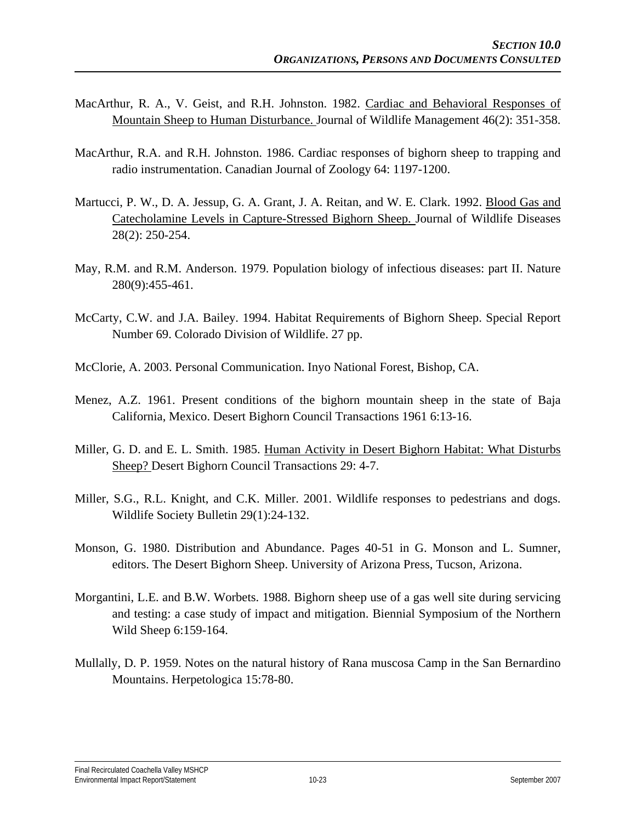- MacArthur, R. A., V. Geist, and R.H. Johnston. 1982. Cardiac and Behavioral Responses of Mountain Sheep to Human Disturbance. Journal of Wildlife Management 46(2): 351-358.
- MacArthur, R.A. and R.H. Johnston. 1986. Cardiac responses of bighorn sheep to trapping and radio instrumentation. Canadian Journal of Zoology 64: 1197-1200.
- Martucci, P. W., D. A. Jessup, G. A. Grant, J. A. Reitan, and W. E. Clark. 1992. Blood Gas and Catecholamine Levels in Capture-Stressed Bighorn Sheep. Journal of Wildlife Diseases 28(2): 250-254.
- May, R.M. and R.M. Anderson. 1979. Population biology of infectious diseases: part II. Nature 280(9):455-461.
- McCarty, C.W. and J.A. Bailey. 1994. Habitat Requirements of Bighorn Sheep. Special Report Number 69. Colorado Division of Wildlife. 27 pp.
- McClorie, A. 2003. Personal Communication. Inyo National Forest, Bishop, CA.
- Menez, A.Z. 1961. Present conditions of the bighorn mountain sheep in the state of Baja California, Mexico. Desert Bighorn Council Transactions 1961 6:13-16.
- Miller, G. D. and E. L. Smith. 1985. Human Activity in Desert Bighorn Habitat: What Disturbs Sheep? Desert Bighorn Council Transactions 29: 4-7.
- Miller, S.G., R.L. Knight, and C.K. Miller. 2001. Wildlife responses to pedestrians and dogs. Wildlife Society Bulletin 29(1):24-132.
- Monson, G. 1980. Distribution and Abundance. Pages 40-51 in G. Monson and L. Sumner, editors. The Desert Bighorn Sheep. University of Arizona Press, Tucson, Arizona.
- Morgantini, L.E. and B.W. Worbets. 1988. Bighorn sheep use of a gas well site during servicing and testing: a case study of impact and mitigation. Biennial Symposium of the Northern Wild Sheep 6:159-164.
- Mullally, D. P. 1959. Notes on the natural history of Rana muscosa Camp in the San Bernardino Mountains. Herpetologica 15:78-80.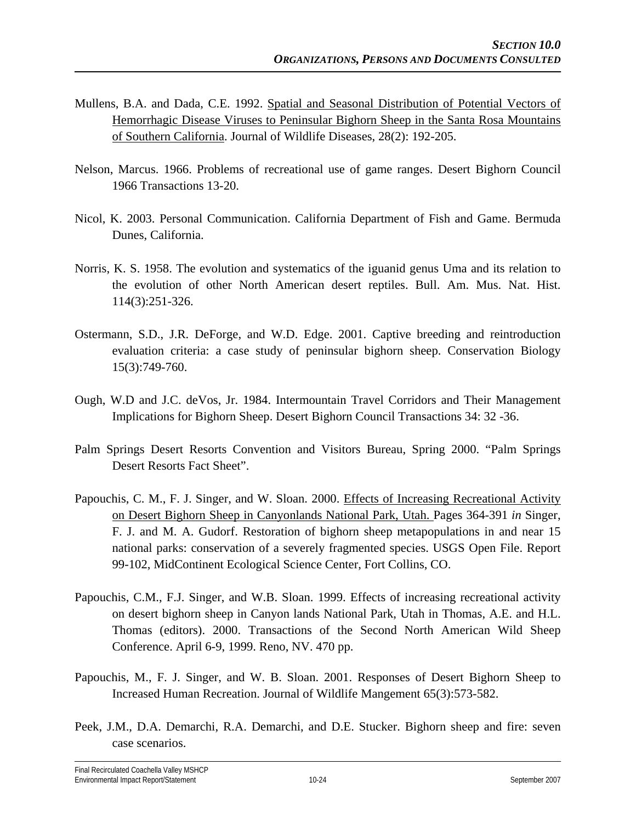- Mullens, B.A. and Dada, C.E. 1992. Spatial and Seasonal Distribution of Potential Vectors of Hemorrhagic Disease Viruses to Peninsular Bighorn Sheep in the Santa Rosa Mountains of Southern California. Journal of Wildlife Diseases, 28(2): 192-205.
- Nelson, Marcus. 1966. Problems of recreational use of game ranges. Desert Bighorn Council 1966 Transactions 13-20.
- Nicol, K. 2003. Personal Communication. California Department of Fish and Game. Bermuda Dunes, California.
- Norris, K. S. 1958. The evolution and systematics of the iguanid genus Uma and its relation to the evolution of other North American desert reptiles. Bull. Am. Mus. Nat. Hist. 114(3):251-326.
- Ostermann, S.D., J.R. DeForge, and W.D. Edge. 2001. Captive breeding and reintroduction evaluation criteria: a case study of peninsular bighorn sheep. Conservation Biology 15(3):749-760.
- Ough, W.D and J.C. deVos, Jr. 1984. Intermountain Travel Corridors and Their Management Implications for Bighorn Sheep. Desert Bighorn Council Transactions 34: 32 -36.
- Palm Springs Desert Resorts Convention and Visitors Bureau, Spring 2000. "Palm Springs Desert Resorts Fact Sheet".
- Papouchis, C. M., F. J. Singer, and W. Sloan. 2000. Effects of Increasing Recreational Activity on Desert Bighorn Sheep in Canyonlands National Park, Utah. Pages 364-391 *in* Singer, F. J. and M. A. Gudorf. Restoration of bighorn sheep metapopulations in and near 15 national parks: conservation of a severely fragmented species. USGS Open File. Report 99-102, MidContinent Ecological Science Center, Fort Collins, CO.
- Papouchis, C.M., F.J. Singer, and W.B. Sloan. 1999. Effects of increasing recreational activity on desert bighorn sheep in Canyon lands National Park, Utah in Thomas, A.E. and H.L. Thomas (editors). 2000. Transactions of the Second North American Wild Sheep Conference. April 6-9, 1999. Reno, NV. 470 pp.
- Papouchis, M., F. J. Singer, and W. B. Sloan. 2001. Responses of Desert Bighorn Sheep to Increased Human Recreation. Journal of Wildlife Mangement 65(3):573-582.
- Peek, J.M., D.A. Demarchi, R.A. Demarchi, and D.E. Stucker. Bighorn sheep and fire: seven case scenarios.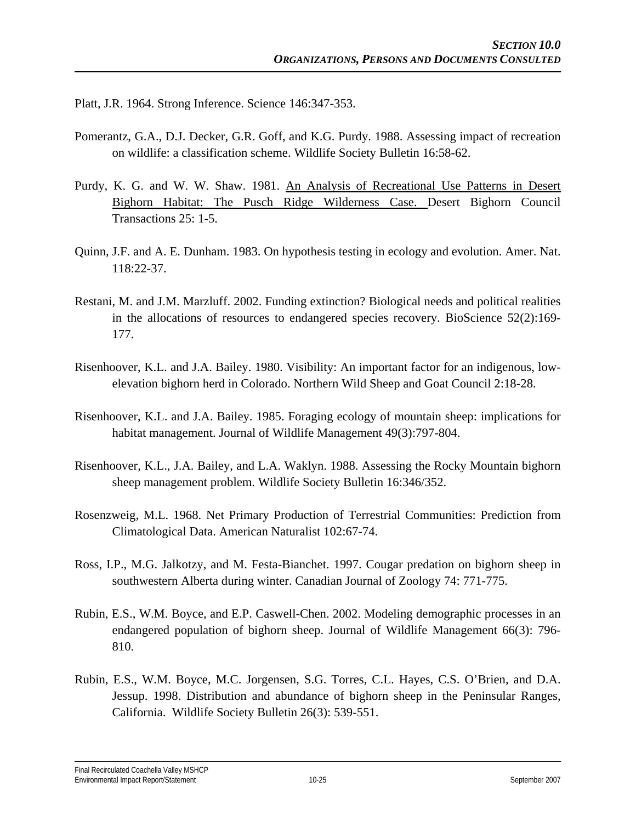Platt, J.R. 1964. Strong Inference. Science 146:347-353.

- Pomerantz, G.A., D.J. Decker, G.R. Goff, and K.G. Purdy. 1988. Assessing impact of recreation on wildlife: a classification scheme. Wildlife Society Bulletin 16:58-62.
- Purdy, K. G. and W. W. Shaw. 1981. An Analysis of Recreational Use Patterns in Desert Bighorn Habitat: The Pusch Ridge Wilderness Case. Desert Bighorn Council Transactions 25: 1-5.
- Quinn, J.F. and A. E. Dunham. 1983. On hypothesis testing in ecology and evolution. Amer. Nat. 118:22-37.
- Restani, M. and J.M. Marzluff. 2002. Funding extinction? Biological needs and political realities in the allocations of resources to endangered species recovery. BioScience 52(2):169- 177.
- Risenhoover, K.L. and J.A. Bailey. 1980. Visibility: An important factor for an indigenous, lowelevation bighorn herd in Colorado. Northern Wild Sheep and Goat Council 2:18-28.
- Risenhoover, K.L. and J.A. Bailey. 1985. Foraging ecology of mountain sheep: implications for habitat management. Journal of Wildlife Management 49(3):797-804.
- Risenhoover, K.L., J.A. Bailey, and L.A. Waklyn. 1988. Assessing the Rocky Mountain bighorn sheep management problem. Wildlife Society Bulletin 16:346/352.
- Rosenzweig, M.L. 1968. Net Primary Production of Terrestrial Communities: Prediction from Climatological Data. American Naturalist 102:67-74.
- Ross, I.P., M.G. Jalkotzy, and M. Festa-Bianchet. 1997. Cougar predation on bighorn sheep in southwestern Alberta during winter. Canadian Journal of Zoology 74: 771-775.
- Rubin, E.S., W.M. Boyce, and E.P. Caswell-Chen. 2002. Modeling demographic processes in an endangered population of bighorn sheep. Journal of Wildlife Management 66(3): 796- 810.
- Rubin, E.S., W.M. Boyce, M.C. Jorgensen, S.G. Torres, C.L. Hayes, C.S. O'Brien, and D.A. Jessup. 1998. Distribution and abundance of bighorn sheep in the Peninsular Ranges, California. Wildlife Society Bulletin 26(3): 539-551.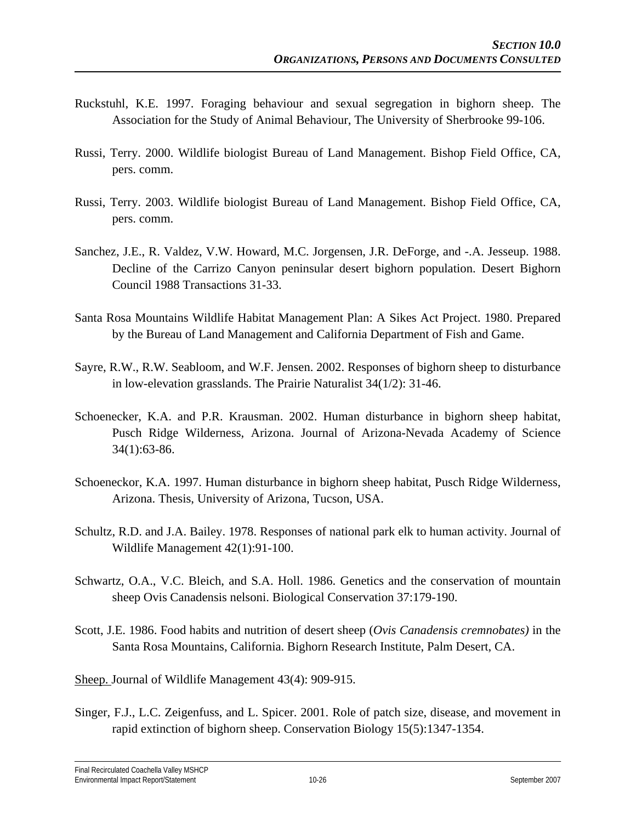- Ruckstuhl, K.E. 1997. Foraging behaviour and sexual segregation in bighorn sheep. The Association for the Study of Animal Behaviour, The University of Sherbrooke 99-106.
- Russi, Terry. 2000. Wildlife biologist Bureau of Land Management. Bishop Field Office, CA, pers. comm.
- Russi, Terry. 2003. Wildlife biologist Bureau of Land Management. Bishop Field Office, CA, pers. comm.
- Sanchez, J.E., R. Valdez, V.W. Howard, M.C. Jorgensen, J.R. DeForge, and -.A. Jesseup. 1988. Decline of the Carrizo Canyon peninsular desert bighorn population. Desert Bighorn Council 1988 Transactions 31-33.
- Santa Rosa Mountains Wildlife Habitat Management Plan: A Sikes Act Project. 1980. Prepared by the Bureau of Land Management and California Department of Fish and Game.
- Sayre, R.W., R.W. Seabloom, and W.F. Jensen. 2002. Responses of bighorn sheep to disturbance in low-elevation grasslands. The Prairie Naturalist 34(1/2): 31-46.
- Schoenecker, K.A. and P.R. Krausman. 2002. Human disturbance in bighorn sheep habitat, Pusch Ridge Wilderness, Arizona. Journal of Arizona-Nevada Academy of Science 34(1):63-86.
- Schoeneckor, K.A. 1997. Human disturbance in bighorn sheep habitat, Pusch Ridge Wilderness, Arizona. Thesis, University of Arizona, Tucson, USA.
- Schultz, R.D. and J.A. Bailey. 1978. Responses of national park elk to human activity. Journal of Wildlife Management 42(1):91-100.
- Schwartz, O.A., V.C. Bleich, and S.A. Holl. 1986. Genetics and the conservation of mountain sheep Ovis Canadensis nelsoni. Biological Conservation 37:179-190.
- Scott, J.E. 1986. Food habits and nutrition of desert sheep (*Ovis Canadensis cremnobates)* in the Santa Rosa Mountains, California. Bighorn Research Institute, Palm Desert, CA.
- Sheep. Journal of Wildlife Management 43(4): 909-915.
- Singer, F.J., L.C. Zeigenfuss, and L. Spicer. 2001. Role of patch size, disease, and movement in rapid extinction of bighorn sheep. Conservation Biology 15(5):1347-1354.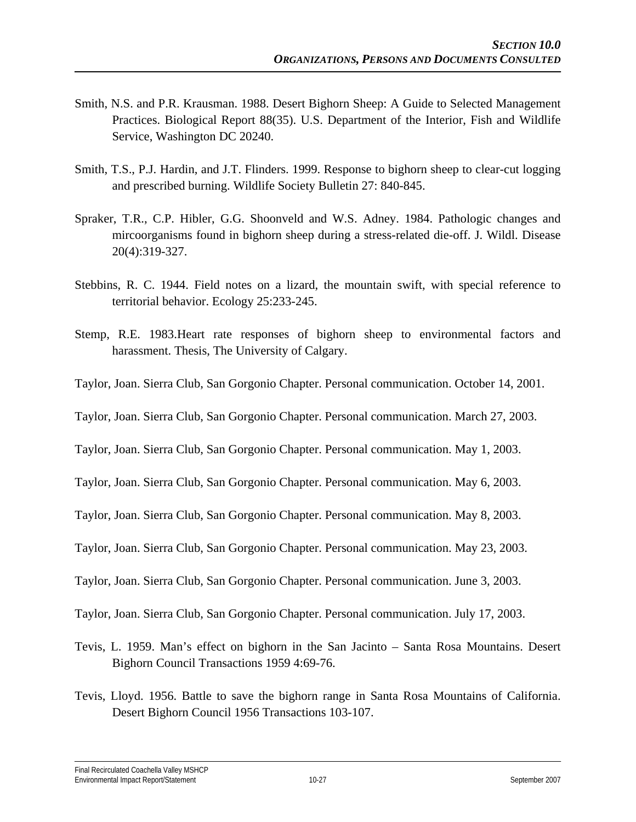- Smith, N.S. and P.R. Krausman. 1988. Desert Bighorn Sheep: A Guide to Selected Management Practices. Biological Report 88(35). U.S. Department of the Interior, Fish and Wildlife Service, Washington DC 20240.
- Smith, T.S., P.J. Hardin, and J.T. Flinders. 1999. Response to bighorn sheep to clear-cut logging and prescribed burning. Wildlife Society Bulletin 27: 840-845.
- Spraker, T.R., C.P. Hibler, G.G. Shoonveld and W.S. Adney. 1984. Pathologic changes and mircoorganisms found in bighorn sheep during a stress-related die-off. J. Wildl. Disease 20(4):319-327.
- Stebbins, R. C. 1944. Field notes on a lizard, the mountain swift, with special reference to territorial behavior. Ecology 25:233-245.
- Stemp, R.E. 1983.Heart rate responses of bighorn sheep to environmental factors and harassment. Thesis, The University of Calgary.
- Taylor, Joan. Sierra Club, San Gorgonio Chapter. Personal communication. October 14, 2001.
- Taylor, Joan. Sierra Club, San Gorgonio Chapter. Personal communication. March 27, 2003.
- Taylor, Joan. Sierra Club, San Gorgonio Chapter. Personal communication. May 1, 2003.
- Taylor, Joan. Sierra Club, San Gorgonio Chapter. Personal communication. May 6, 2003.
- Taylor, Joan. Sierra Club, San Gorgonio Chapter. Personal communication. May 8, 2003.
- Taylor, Joan. Sierra Club, San Gorgonio Chapter. Personal communication. May 23, 2003.
- Taylor, Joan. Sierra Club, San Gorgonio Chapter. Personal communication. June 3, 2003.
- Taylor, Joan. Sierra Club, San Gorgonio Chapter. Personal communication. July 17, 2003.
- Tevis, L. 1959. Man's effect on bighorn in the San Jacinto Santa Rosa Mountains. Desert Bighorn Council Transactions 1959 4:69-76.
- Tevis, Lloyd. 1956. Battle to save the bighorn range in Santa Rosa Mountains of California. Desert Bighorn Council 1956 Transactions 103-107.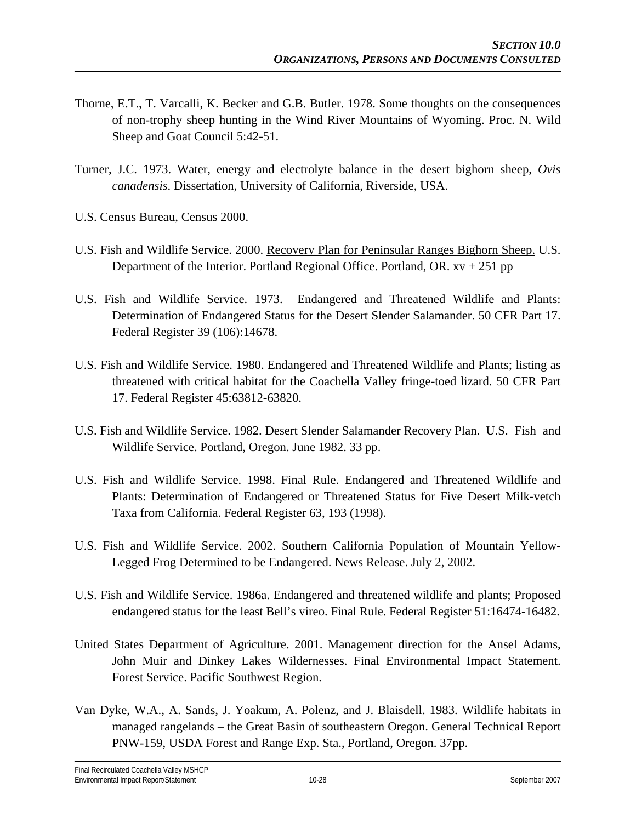- Thorne, E.T., T. Varcalli, K. Becker and G.B. Butler. 1978. Some thoughts on the consequences of non-trophy sheep hunting in the Wind River Mountains of Wyoming. Proc. N. Wild Sheep and Goat Council 5:42-51.
- Turner, J.C. 1973. Water, energy and electrolyte balance in the desert bighorn sheep, *Ovis canadensis*. Dissertation, University of California, Riverside, USA.
- U.S. Census Bureau, Census 2000.
- U.S. Fish and Wildlife Service. 2000. Recovery Plan for Peninsular Ranges Bighorn Sheep. U.S. Department of the Interior. Portland Regional Office. Portland, OR.  $xy + 251$  pp
- U.S. Fish and Wildlife Service. 1973. Endangered and Threatened Wildlife and Plants: Determination of Endangered Status for the Desert Slender Salamander. 50 CFR Part 17. Federal Register 39 (106):14678.
- U.S. Fish and Wildlife Service. 1980. Endangered and Threatened Wildlife and Plants; listing as threatened with critical habitat for the Coachella Valley fringe-toed lizard. 50 CFR Part 17. Federal Register 45:63812-63820.
- U.S. Fish and Wildlife Service. 1982. Desert Slender Salamander Recovery Plan. U.S. Fish and Wildlife Service. Portland, Oregon. June 1982. 33 pp.
- U.S. Fish and Wildlife Service. 1998. Final Rule. Endangered and Threatened Wildlife and Plants: Determination of Endangered or Threatened Status for Five Desert Milk-vetch Taxa from California. Federal Register 63, 193 (1998).
- U.S. Fish and Wildlife Service. 2002. Southern California Population of Mountain Yellow-Legged Frog Determined to be Endangered. News Release. July 2, 2002.
- U.S. Fish and Wildlife Service. 1986a. Endangered and threatened wildlife and plants; Proposed endangered status for the least Bell's vireo. Final Rule. Federal Register 51:16474-16482.
- United States Department of Agriculture. 2001. Management direction for the Ansel Adams, John Muir and Dinkey Lakes Wildernesses. Final Environmental Impact Statement. Forest Service. Pacific Southwest Region.
- Van Dyke, W.A., A. Sands, J. Yoakum, A. Polenz, and J. Blaisdell. 1983. Wildlife habitats in managed rangelands – the Great Basin of southeastern Oregon. General Technical Report PNW-159, USDA Forest and Range Exp. Sta., Portland, Oregon. 37pp.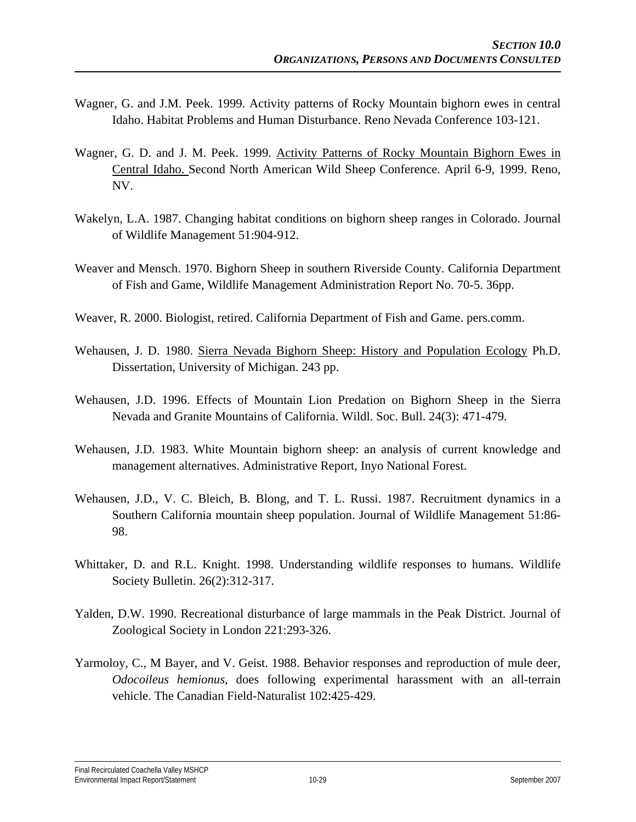- Wagner, G. and J.M. Peek. 1999. Activity patterns of Rocky Mountain bighorn ewes in central Idaho. Habitat Problems and Human Disturbance. Reno Nevada Conference 103-121.
- Wagner, G. D. and J. M. Peek. 1999. Activity Patterns of Rocky Mountain Bighorn Ewes in Central Idaho. Second North American Wild Sheep Conference. April 6-9, 1999. Reno, NV.
- Wakelyn, L.A. 1987. Changing habitat conditions on bighorn sheep ranges in Colorado. Journal of Wildlife Management 51:904-912.
- Weaver and Mensch. 1970. Bighorn Sheep in southern Riverside County. California Department of Fish and Game, Wildlife Management Administration Report No. 70-5. 36pp.
- Weaver, R. 2000. Biologist, retired. California Department of Fish and Game. pers.comm.
- Wehausen, J. D. 1980. Sierra Nevada Bighorn Sheep: History and Population Ecology Ph.D. Dissertation, University of Michigan. 243 pp.
- Wehausen, J.D. 1996. Effects of Mountain Lion Predation on Bighorn Sheep in the Sierra Nevada and Granite Mountains of California. Wildl. Soc. Bull. 24(3): 471-479.
- Wehausen, J.D. 1983. White Mountain bighorn sheep: an analysis of current knowledge and management alternatives. Administrative Report, Inyo National Forest.
- Wehausen, J.D., V. C. Bleich, B. Blong, and T. L. Russi. 1987. Recruitment dynamics in a Southern California mountain sheep population. Journal of Wildlife Management 51:86- 98.
- Whittaker, D. and R.L. Knight. 1998. Understanding wildlife responses to humans. Wildlife Society Bulletin. 26(2):312-317.
- Yalden, D.W. 1990. Recreational disturbance of large mammals in the Peak District. Journal of Zoological Society in London 221:293-326.
- Yarmoloy, C., M Bayer, and V. Geist. 1988. Behavior responses and reproduction of mule deer, *Odocoileus hemionus*, does following experimental harassment with an all-terrain vehicle. The Canadian Field-Naturalist 102:425-429.